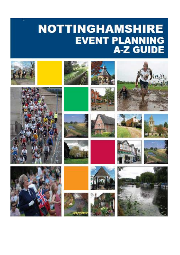## **NOTTINGHAMSHIRE EVENT PLANNING A-Z GUIDE**

































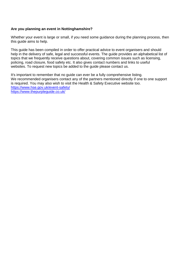## **Are you planning an event in Nottinghamshire?**

Whether your event is large or small, if you need some guidance during the planning process, then this guide aims to help.

This guide has been compiled in order to offer practical advice to event organisers and should help in the delivery of safe, legal and successful events. The guide provides an alphabetical list of topics that we frequently receive questions about, covering common issues such as licensing, policing, road closure, food safety etc. It also gives contact numbers and links to useful websites. To request new topics be added to the guide please contact us.

It's important to remember that no guide can ever be a fully comprehensive listing. We recommended organisers contact any of the partners mentioned directly if one to one support is required. You may also wish to visit the Health & Safety Executive website too. <https://www.hse.gov.uk/event-safety/> <https://www.thepurpleguide.co.uk/>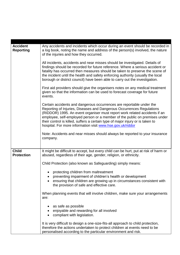| <b>Accident</b><br>Reporting      | Any accidents and incidents which occur during an event should be recorded in<br>a log book, noting the name and address of the person(s) involved, the nature<br>of the injuries and how they occurred.<br>All incidents, accidents and near misses should be investigated. Details of<br>findings should be recorded for future reference. Where a serious accident or<br>fatality has occurred then measures should be taken to preserve the scene of<br>the incident until the health and safety enforcing authority (usually the local<br>borough or district council) have been able to carry out the investigation.<br>First aid providers should give the organisers notes on any medical treatment<br>given so that the information can be used to forecast coverage for future<br>events.<br>Certain accidents and dangerous occurrences are reportable under the |
|-----------------------------------|-----------------------------------------------------------------------------------------------------------------------------------------------------------------------------------------------------------------------------------------------------------------------------------------------------------------------------------------------------------------------------------------------------------------------------------------------------------------------------------------------------------------------------------------------------------------------------------------------------------------------------------------------------------------------------------------------------------------------------------------------------------------------------------------------------------------------------------------------------------------------------|
|                                   | Reporting of Injuries, Diseases and Dangerous Occurrences Regulations<br>(RIDDOR) 1995. An event organiser must report work related accidents if an<br>employee, self-employed person or a member of the public on premises under<br>their control is killed, suffers a certain type of major injury or is taken to<br>hospital. For more information visit www.hse.gov.uk/riddor                                                                                                                                                                                                                                                                                                                                                                                                                                                                                           |
|                                   | Note: Accidents and near misses should always be reported to your insurance<br>company.                                                                                                                                                                                                                                                                                                                                                                                                                                                                                                                                                                                                                                                                                                                                                                                     |
| <b>Child</b><br><b>Protection</b> | It might be difficult to accept, but every child can be hurt, put at risk of harm or<br>abused, regardless of their age, gender, religion, or ethnicity.                                                                                                                                                                                                                                                                                                                                                                                                                                                                                                                                                                                                                                                                                                                    |
|                                   | Child Protection (also known as Safeguarding) simply means:                                                                                                                                                                                                                                                                                                                                                                                                                                                                                                                                                                                                                                                                                                                                                                                                                 |
|                                   | protecting children from maltreatment<br>preventing impairment of children's health or development<br>ensuring that children are growing up in circumstances consistent with<br>the provision of safe and effective care.                                                                                                                                                                                                                                                                                                                                                                                                                                                                                                                                                                                                                                                   |
|                                   | When planning events that will involve children, make sure your arrangements<br>are:                                                                                                                                                                                                                                                                                                                                                                                                                                                                                                                                                                                                                                                                                                                                                                                        |
|                                   | as safe as possible<br>enjoyable and rewarding for all involved<br>compliant with legislation.                                                                                                                                                                                                                                                                                                                                                                                                                                                                                                                                                                                                                                                                                                                                                                              |
|                                   | It is very difficult to design a one-size-fits-all approach to child protection,<br>therefore the actions undertaken to protect children at events need to be<br>personalised according to the particular environment and risk.                                                                                                                                                                                                                                                                                                                                                                                                                                                                                                                                                                                                                                             |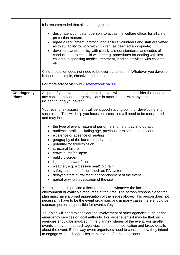|                                    | It is recommended that all event organisers:                                                                                                                                                                                                                                                                                                                                                                                                                                                                                                                                                              |
|------------------------------------|-----------------------------------------------------------------------------------------------------------------------------------------------------------------------------------------------------------------------------------------------------------------------------------------------------------------------------------------------------------------------------------------------------------------------------------------------------------------------------------------------------------------------------------------------------------------------------------------------------------|
|                                    | designate a competent person to act as the welfare officer for all child<br>$\bullet$<br>protection matters<br>agree a recruitment protocol and ensure volunteers and staff are vetted<br>as to suitability to work with children (as deemed appropriate)<br>develop a written policy with clearly laid out standards and codes of<br>conducts to protect child welfare e.g. procedures for dealing with lost<br>children, dispensing medical treatment, leading activities with children<br>etc.                                                                                                         |
|                                    | Child protection does not need to be over burdensome. Whatever you develop,<br>it should be simple, effective and usable.                                                                                                                                                                                                                                                                                                                                                                                                                                                                                 |
|                                    | For more advice visit www.safenetwork.org.uk                                                                                                                                                                                                                                                                                                                                                                                                                                                                                                                                                              |
| <b>Contingency</b><br><b>Plans</b> | As part of your event management plan you will need to consider the need for<br>any contingency or emergency plans in order to deal with any unplanned<br>incident during your event.                                                                                                                                                                                                                                                                                                                                                                                                                     |
|                                    | Your event risk assessment will be a good starting point for developing any<br>such plans. This will help you focus on areas that will need to be considered<br>and may include:                                                                                                                                                                                                                                                                                                                                                                                                                          |
|                                    | the type of event, nature of performers, time of day and duration<br>$\bullet$<br>audience profile including age, previous or expected behaviour<br>$\bullet$<br>existence or absence of seating<br>$\bullet$<br>geography of the location and venue<br>$\bullet$<br>potential for fire/explosion<br>structural failure<br>crowd surge/collapse<br>public disorder<br>lighting or power failure<br>weather, e.g. excessive heat/cold/rain<br>$\bullet$<br>safety equipment failure such as PA system<br>delayed start, curtailment or abandonment of the event<br>partial or whole evacuation of the site |
|                                    | Your plan should provide a flexible response whatever the incident,<br>environment or available resources at the time. The person responsible for the<br>plan must have a broad appreciation of the issues above. This person does not<br>necessarily have to be the event organiser, and in many cases there should be<br>separate person responsible for event safety.                                                                                                                                                                                                                                  |
|                                    | Your plan will need to consider the involvement of other agencies such as the<br>emergency services or local authority. For larger events it may be that such<br>agencies should be involved in the planning stages of the event. For smaller<br>events it may be that such agencies just require notification and broad details<br>about the event. Either way event organisers need to consider how they intend<br>to engage with such agencies in the event of a major incident.                                                                                                                       |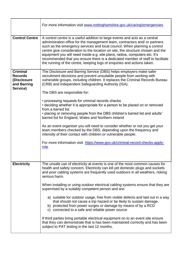|                                                                             | For more information visit www.nottinghamshire.gov.uk/caring/emergencies                                                                                                                                                                                                                                                                                                                                                                                                                                                                                                                                                                                                                                                                                                                                                                                                                                                             |
|-----------------------------------------------------------------------------|--------------------------------------------------------------------------------------------------------------------------------------------------------------------------------------------------------------------------------------------------------------------------------------------------------------------------------------------------------------------------------------------------------------------------------------------------------------------------------------------------------------------------------------------------------------------------------------------------------------------------------------------------------------------------------------------------------------------------------------------------------------------------------------------------------------------------------------------------------------------------------------------------------------------------------------|
| <b>Control Centre</b>                                                       | A control centre is a useful addition to large events and acts as a central<br>administration office for the management team, contractors and/ or partners<br>such as the emergency services and local council. When planning a control<br>centre give consideration to the location on site, the structure chosen and the<br>equipment you will need inside e.g. site plans, radios, computers etc. It's<br>recommended that you ensure there is a dedicated member of staff to facilitate<br>the running of the centre, keeping logs of enquiries and actions taken.                                                                                                                                                                                                                                                                                                                                                               |
| <b>Criminal</b><br><b>Records</b><br>(Disclosure<br>and Barring<br>Service) | The Disclosure and Barring Service (DBS) helps employers make safer<br>recruitment decisions and prevent unsuitable people from working with<br>vulnerable groups, including children. It replaces the Criminal Records Bureau<br>(CRB) and Independent Safeguarding Authority (ISA).<br>The DBS are responsible for:<br>• processing requests for criminal records checks<br>• deciding whether it is appropriate for a person to be placed on or removed<br>from a barred list<br>• placing or removing people from the DBS children's barred list and adults'<br>barred list for England, Wales and Northern Ireland<br>As an event organiser you will need to consider whether or not you get your<br>team members checked by the DBS, depending upon the frequency and<br>intensity of their contact with children or vulnerable people.<br>For more information visit https://www.gov.uk/criminal-record-checks-apply-<br>role |
| <b>Electricity</b>                                                          | The unsafe use of electricity at events is one of the most common causes for<br>health and safety concern. Electricity can kill yet domestic plugs and sockets<br>and poor cabling systems are frequently used outdoors in all weathers, risking<br>serious harm.<br>When installing or using outdoor electrical cabling systems ensure that they are<br>supervised by a suitably competent person and are:<br>a) suitable for outdoor usage, free from visible defects and laid out in a way<br>that should not cause a trip hazard or be likely to sustain damage.<br>b) protected from power surges or damage by means of by a RCD<br>c) connected to a safe and reliable power source<br>If third parties bring portable electrical equipment on to an event site ensure<br>that they can demonstrate that is has been maintained correctly and has been<br>subject to PAT testing in the last 12 months.                        |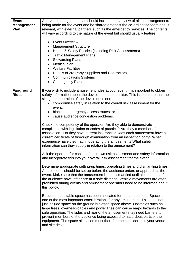| <b>Event</b><br><b>Management</b><br>Plan | An event management plan should include an overview of all the arrangements<br>being made for the event and be shared amongst the co-ordinating team and, if<br>relevant, with external partners such as the emergency services. The contents<br>will vary according to the nature of the event but should usually feature:<br><b>Event Overview</b><br><b>Management Structure</b><br>Health & Safety Policies (including Risk Assessments)<br>٠<br><b>Traffic Management Plans</b><br>$\bullet$<br><b>Stewarding Plans</b><br>Medical plan<br><b>Welfare Facilities</b><br>$\bullet$<br>Details of 3rd Party Suppliers and Contractors<br>$\bullet$<br><b>Communications Systems</b><br><b>Contingency Plans</b>                                                                                                                                                                                                                                                                                                                                                                                                                                                                                                                                                                                                                                                                                                                                                                                                                                                                                                                                                                                                                                                                                                                                                                                                                                                                                       |
|-------------------------------------------|----------------------------------------------------------------------------------------------------------------------------------------------------------------------------------------------------------------------------------------------------------------------------------------------------------------------------------------------------------------------------------------------------------------------------------------------------------------------------------------------------------------------------------------------------------------------------------------------------------------------------------------------------------------------------------------------------------------------------------------------------------------------------------------------------------------------------------------------------------------------------------------------------------------------------------------------------------------------------------------------------------------------------------------------------------------------------------------------------------------------------------------------------------------------------------------------------------------------------------------------------------------------------------------------------------------------------------------------------------------------------------------------------------------------------------------------------------------------------------------------------------------------------------------------------------------------------------------------------------------------------------------------------------------------------------------------------------------------------------------------------------------------------------------------------------------------------------------------------------------------------------------------------------------------------------------------------------------------------------------------------------|
| Fairground<br><b>Rides</b>                | If you wish to include amusement rides at your event, it is important to obtain<br>safety information about the device from the operator. This is to ensure that the<br>siting and operation of the device does not:<br>compromise safety in relation to the overall risk assessment for the<br>event;<br>block the emergency access routes; or<br>cause audience congestion problems.<br>Check the competency of the operator. Are they able to demonstrate<br>compliance with legislation or codes of practice? Are they a member of an<br>association? Do they have current insurance? Does each amusement have a<br>current certificate of thorough examination from an inspection body? What<br>experience have they had in operating the amusement? What safety<br>information can they supply in relation to the amusement?<br>Ask the operator for copies of their own risk assessment and safety information<br>and incorporate this into your overall risk assessment for the event.<br>Determine appropriate setting-up times, operating times and dismantling times.<br>Amusements should be set up before the audience enters or approaches the<br>event. Make sure that the amusement is not dismantled until all members of<br>the audience have left or are at a safe distance. Vehicle movements are often<br>prohibited during events and amusement operators need to be informed about<br>this policy.<br>Ensure that suitable space has been allocated for the amusement. Space is<br>one of the most important considerations for any amusement. This does not<br>just include space on the ground but often space above. Obstacles such as<br>large trees, overhead-cables and power lines can cause major hazards to the<br>safe operation. The sides and rear of the amusement may need barriers to<br>prevent members of the audience being exposed to hazardous parts of the<br>equipment. The space allocation must therefore be considered in your venue<br>and site design. |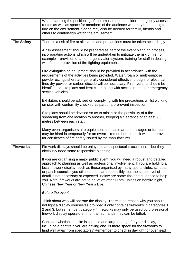|                    | When planning the positioning of the amusement, consider emergency access<br>routes as well as space for members of the audience who may be queuing to<br>ride on the amusement. Space may also be needed for family, friends and<br>others to comfortably watch the amusement.                                                                                                                                                                                                                                                                |
|--------------------|------------------------------------------------------------------------------------------------------------------------------------------------------------------------------------------------------------------------------------------------------------------------------------------------------------------------------------------------------------------------------------------------------------------------------------------------------------------------------------------------------------------------------------------------|
| <b>Fire Safety</b> | There is a risk of fire at all events and precautions must be taken accordingly                                                                                                                                                                                                                                                                                                                                                                                                                                                                |
|                    | A risk assessment should be prepared as part of the event planning process,<br>incorporating actions which will be undertaken to mitigate the risk of fire, for<br>example – provision of an emergency alert system, training for staff in dealing<br>with fire and provision of fire fighting equipment.                                                                                                                                                                                                                                      |
|                    | Fire extinguishing equipment should be provided in accordance with the<br>requirements of the activities being provided. Water, foam or multi-purpose<br>powder extinguishers are generally considered effective, though for electrical<br>fires dry powder or carbon dioxide will be necessary. Fire hydrants should be<br>identified on site plans and kept clear, along with access routes for emergency<br>service vehicles.                                                                                                               |
|                    | Exhibitors should be advised on complying with fire precautions whilst working<br>on site, with conformity checked as part of a pre-event inspection.                                                                                                                                                                                                                                                                                                                                                                                          |
|                    | Site plans should be devised so as to minimize the possibility of a fire<br>spreading from one location to another, keeping a clearance of at least 2/3<br>metres between each stall.                                                                                                                                                                                                                                                                                                                                                          |
|                    | Many event organisers hire equipment such as marquees, stages or furniture<br>may be hired in temporarily for an event – remember to check with the provider<br>for certificates of fire safety issued by the manufacturer.                                                                                                                                                                                                                                                                                                                    |
| <b>Fireworks</b>   | Firework displays should be enjoyable and spectacular occasions – but they<br>obviously need some responsible planning.                                                                                                                                                                                                                                                                                                                                                                                                                        |
|                    | If you are organising a major public event, you will need a robust and detailed<br>approach to planning as well as professional involvement. If you are holding a<br>local firework display, such as those organised by many sports clubs, schools<br>or parish councils, you still need to plan responsibly, but the same level of<br>detail is not necessary or expected. Below are some tips and guidance to help<br>you. Note: fireworks are not to be let off after 11pm, unless on bonfire night,<br>Chinese New Year or New Year's Eve. |
|                    | Before the event                                                                                                                                                                                                                                                                                                                                                                                                                                                                                                                               |
|                    | Think about who will operate the display. There is no reason why you should<br>not light a display yourselves provided it only contains fireworks in categories 1,<br>2 and 3. but remember, category 4 fireworks may only be used by professional<br>firework display operators. In untrained hands they can be lethal.                                                                                                                                                                                                                       |
|                    | Consider whether the site is suitable and large enough for your display,<br>including a bonfire if you are having one. Is there space for the fireworks to<br>land well away from spectators? Remember to check in daylight for overhead                                                                                                                                                                                                                                                                                                       |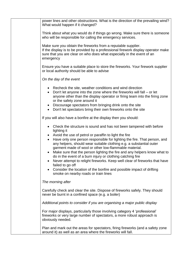| power lines and other obstructions. What is the direction of the prevailing wind?<br>What would happen if it changed?                                                                                                                                                                                                                                                                                                                                                                                                                                                                                                                                                                                                           |
|---------------------------------------------------------------------------------------------------------------------------------------------------------------------------------------------------------------------------------------------------------------------------------------------------------------------------------------------------------------------------------------------------------------------------------------------------------------------------------------------------------------------------------------------------------------------------------------------------------------------------------------------------------------------------------------------------------------------------------|
| Think about what you would do if things go wrong. Make sure there is someone<br>who will be responsible for calling the emergency services.                                                                                                                                                                                                                                                                                                                                                                                                                                                                                                                                                                                     |
| Make sure you obtain the fireworks from a reputable supplier.<br>If the display is to be provided by a professional firework display operator make<br>sure that you are clear on who does what especially in the event of an<br>emergency                                                                                                                                                                                                                                                                                                                                                                                                                                                                                       |
| Ensure you have a suitable place to store the fireworks. Your firework supplier<br>or local authority should be able to advise                                                                                                                                                                                                                                                                                                                                                                                                                                                                                                                                                                                                  |
| On the day of the event                                                                                                                                                                                                                                                                                                                                                                                                                                                                                                                                                                                                                                                                                                         |
| Recheck the site, weather conditions and wind direction<br>Don't let anyone into the zone where the fireworks will fall $-$ or let<br>$\bullet$<br>anyone other than the display operator or firing team into the firing zone<br>or the safety zone around it<br>Discourage spectators from bringing drink onto the site<br>• Don't let spectators bring their own fireworks onto the site                                                                                                                                                                                                                                                                                                                                      |
| If you will also have a bonfire at the display then you should:                                                                                                                                                                                                                                                                                                                                                                                                                                                                                                                                                                                                                                                                 |
| Check the structure is sound and has not been tampered with before<br>lighting it<br>Avoid the use of petrol or paraffin to light the fire<br>Have only one person responsible for lighting the fire. That person, and<br>$\bullet$<br>any helpers, should wear suitable clothing e.g. a substantial outer<br>garment made of wool or other low-flammable material.<br>Make sure that the person lighting the fire and any helpers know what to<br>do in the event of a burn injury or clothing catching fire<br>Never attempt to relight fireworks. Keep well clear of fireworks that have<br>failed to go off<br>Consider the location of the bonfire and possible impact of drifting<br>smoke on nearby roads or train lines |
| The morning after                                                                                                                                                                                                                                                                                                                                                                                                                                                                                                                                                                                                                                                                                                               |
| Carefully check and clear the site. Dispose of fireworks safely. They should<br>never be burnt in a confined space (e.g. a boiler)                                                                                                                                                                                                                                                                                                                                                                                                                                                                                                                                                                                              |
| Additional points to consider if you are organising a major public display                                                                                                                                                                                                                                                                                                                                                                                                                                                                                                                                                                                                                                                      |
| For major displays, particularly those involving category 4 'professional'<br>fireworks or very large number of spectators, a more robust approach is<br>obviously needed.                                                                                                                                                                                                                                                                                                                                                                                                                                                                                                                                                      |
| Plan and mark out the areas for spectators, firing fireworks (and a safety zone<br>around it) as well as an area where the fireworks will fall.                                                                                                                                                                                                                                                                                                                                                                                                                                                                                                                                                                                 |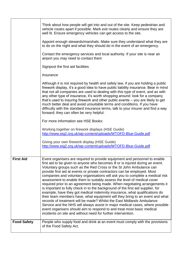|                    | Think about how people will get into and out of the site. Keep pedestrian and<br>vehicle routes apart if possible. Mark exit routes clearly and ensure they are<br>well lit. Ensure emergency vehicles can get access to the site.                                                                                                                                                                                                                                                                                                                                                                                                                                                                                                                                                                                                                                                                                                                                                                                                                                                                              |
|--------------------|-----------------------------------------------------------------------------------------------------------------------------------------------------------------------------------------------------------------------------------------------------------------------------------------------------------------------------------------------------------------------------------------------------------------------------------------------------------------------------------------------------------------------------------------------------------------------------------------------------------------------------------------------------------------------------------------------------------------------------------------------------------------------------------------------------------------------------------------------------------------------------------------------------------------------------------------------------------------------------------------------------------------------------------------------------------------------------------------------------------------|
|                    | Appoint enough stewards/marshals. Make sure they understand what they are<br>to do on the night and what they should do in the event of an emergency.                                                                                                                                                                                                                                                                                                                                                                                                                                                                                                                                                                                                                                                                                                                                                                                                                                                                                                                                                           |
|                    | Contact the emergency services and local authority. If your site is near an<br>airport you may need to contact them                                                                                                                                                                                                                                                                                                                                                                                                                                                                                                                                                                                                                                                                                                                                                                                                                                                                                                                                                                                             |
|                    | Signpost the first aid facilities                                                                                                                                                                                                                                                                                                                                                                                                                                                                                                                                                                                                                                                                                                                                                                                                                                                                                                                                                                                                                                                                               |
|                    | <i><b>Insurance</b></i>                                                                                                                                                                                                                                                                                                                                                                                                                                                                                                                                                                                                                                                                                                                                                                                                                                                                                                                                                                                                                                                                                         |
|                    | Although it is not required by health and safety law, if you are holding a public<br>firework display, it's a good idea to have public liability insurance. Bear in mind<br>that not all companies are used to dealing with this type of event, and as with<br>any other type of insurance, it's worth shopping around: look for a company<br>that's used to insuring firework and other public events - you are likely to get<br>much better deal and avoid unsuitable terms and conditions. If you have<br>difficulty with the standard insurance terms, talk to your insurer and find a way<br>forward; they can often be very helpful.                                                                                                                                                                                                                                                                                                                                                                                                                                                                      |
|                    | For more information see HSE Books:                                                                                                                                                                                                                                                                                                                                                                                                                                                                                                                                                                                                                                                                                                                                                                                                                                                                                                                                                                                                                                                                             |
|                    | Working together on firework displays (HSE Guide)<br>http://www.eig2.org.uk/wp-content/uploads/WTOFD-Blue-Guide.pdf                                                                                                                                                                                                                                                                                                                                                                                                                                                                                                                                                                                                                                                                                                                                                                                                                                                                                                                                                                                             |
|                    | Giving your own firework display (HSE Guide)<br>http://www.eig2.org.uk/wp-content/uploads/WTOFD-Blue-Guide.pdf                                                                                                                                                                                                                                                                                                                                                                                                                                                                                                                                                                                                                                                                                                                                                                                                                                                                                                                                                                                                  |
| <b>First Aid</b>   | Event organisers are required to provide equipment and personnel to enable<br>first aid to be given to anyone who becomes ill or is injured during an event.<br>Voluntary groups such as the Red Cross or the St John Ambulance can<br>provide first aid at events or private contractors can be employed. Most<br>companies and voluntary organisations will ask you to complete a medical risk<br>assessment to enable them to suitably assess the level of medical cover<br>required prior to an agreement being made. When negotiating arrangements it<br>is important to fully check in to the background of the first aid supplier, for<br>example, have they got medical indemnity insurance, what qualifications do<br>their team members have, what equipment will they bring to an event and what<br>records of treatment will be made? Whilst the East Midlands Ambulance<br>Service and the NHS will always assist in major medical cases, where possible<br>event organisers should aim to respond to and treat most basic medical<br>incidents on site and without need for further intervention. |
| <b>Food Safety</b> | People who supply food and drink at an event must comply with the provisions<br>of the Food Safety Act.                                                                                                                                                                                                                                                                                                                                                                                                                                                                                                                                                                                                                                                                                                                                                                                                                                                                                                                                                                                                         |
|                    |                                                                                                                                                                                                                                                                                                                                                                                                                                                                                                                                                                                                                                                                                                                                                                                                                                                                                                                                                                                                                                                                                                                 |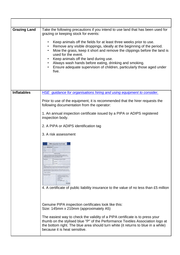| <b>Grazing Land</b> | Take the following precautions if you intend to use land that has been used for<br>grazing or keeping stock for events:<br>Keep animals off the fields for at least three weeks prior to use.<br>$\bullet$<br>Remove any visible droppings, ideally at the beginning of the period.<br>Mow the grass, keep it short and remove the clippings before the land is<br>used for the event.<br>Keep animals off the land during use.<br>Always wash hands before eating, drinking and smoking.<br>$\bullet$<br>Ensure adequate supervision of children, particularly those aged under<br>$\bullet$<br>five. |
|---------------------|--------------------------------------------------------------------------------------------------------------------------------------------------------------------------------------------------------------------------------------------------------------------------------------------------------------------------------------------------------------------------------------------------------------------------------------------------------------------------------------------------------------------------------------------------------------------------------------------------------|
| <b>Inflatables</b>  | HSE guidance for organisations hiring and using equipment to consider.                                                                                                                                                                                                                                                                                                                                                                                                                                                                                                                                 |
|                     | Prior to use of the equipment, it is recommended that the hirer requests the<br>following documentation from the operator:                                                                                                                                                                                                                                                                                                                                                                                                                                                                             |
|                     | 1. An annual inspection certificate issued by a PIPA or ADIPS registered<br>inspection body.                                                                                                                                                                                                                                                                                                                                                                                                                                                                                                           |
|                     | 2. A PIPA or ADIPS identification tag                                                                                                                                                                                                                                                                                                                                                                                                                                                                                                                                                                  |
|                     | 3. A risk assessment                                                                                                                                                                                                                                                                                                                                                                                                                                                                                                                                                                                   |
|                     | <b>PIPA Inspection Certificate</b><br>Con No. 005059<br>879 7.81<br>United Kingdom<br>Tel: +44 (0)1627 92337<br>4. A certificate of public liability insurance to the value of no less than £5 million                                                                                                                                                                                                                                                                                                                                                                                                 |
|                     | Genuine PIPA inspection certificates look like this:<br>Size: 145mm x 210mm (approximately A5)<br>The easiest way to check the validity of a PIPA certificate is to press your<br>thumb on the stylised blue "P" of the Performance Textiles Association logo at<br>the bottom right. The blue area should turn white (it returns to blue in a while)<br>because it is heat sensitive.                                                                                                                                                                                                                 |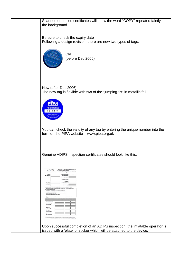Scanned or copied certificates will show the word "COPY" repeated faintly in the background. Be sure to check the expiry date Following a design revision, there are now two types of tags:



Old (before Dec 2006)

New (after Dec 2006) The new tag is flexible with two of the "jumping 'i's" in metallic foil.



You can check the validity of any tag by entering the unique number into the form on the PIPA website – www.pipa.org.uk

Genuine ADIPS inspection certificates should look like this:

| <b>ADIPS</b><br><b>Improve Taring Tenantos Document Scheme</b>                                                                                                                                                                                                                                                                                                                                                                                                                                                                                                                                                                                                                                   |                  | Declaration of Operational Compliance (DOC)<br>by a Registered Inspection Body<br>of an Amusement Device in accordance with Section D of<br>Fairgrounds and Ansatement Parks - Outdance on Safe Practice" HSG | 725                  |                       |             |
|--------------------------------------------------------------------------------------------------------------------------------------------------------------------------------------------------------------------------------------------------------------------------------------------------------------------------------------------------------------------------------------------------------------------------------------------------------------------------------------------------------------------------------------------------------------------------------------------------------------------------------------------------------------------------------------------------|------------------|---------------------------------------------------------------------------------------------------------------------------------------------------------------------------------------------------------------|----------------------|-----------------------|-------------|
| Controller                                                                                                                                                                                                                                                                                                                                                                                                                                                                                                                                                                                                                                                                                       |                  | DOC is report New 20110010: I K.                                                                                                                                                                              |                      |                       |             |
| Apon. & Marritt, No. 1                                                                                                                                                                                                                                                                                                                                                                                                                                                                                                                                                                                                                                                                           |                  | Expiry Detes (no later than):                                                                                                                                                                                 |                      |                       |             |
| Address:                                                                                                                                                                                                                                                                                                                                                                                                                                                                                                                                                                                                                                                                                         |                  | Inspection Body's Ride No:                                                                                                                                                                                    |                      |                       |             |
|                                                                                                                                                                                                                                                                                                                                                                                                                                                                                                                                                                                                                                                                                                  |                  | Inspection Body's Ref. No:                                                                                                                                                                                    |                      |                       |             |
|                                                                                                                                                                                                                                                                                                                                                                                                                                                                                                                                                                                                                                                                                                  |                  | Assn. Machine Serial No:                                                                                                                                                                                      |                      |                       |             |
|                                                                                                                                                                                                                                                                                                                                                                                                                                                                                                                                                                                                                                                                                                  |                  |                                                                                                                                                                                                               | Manufacturer         |                       |             |
| Name of Device<br>ADPS ID No.                                                                                                                                                                                                                                                                                                                                                                                                                                                                                                                                                                                                                                                                    |                  | Manufacturer's Serial No:                                                                                                                                                                                     |                      |                       |             |
| Generic Name &<br>Description                                                                                                                                                                                                                                                                                                                                                                                                                                                                                                                                                                                                                                                                    |                  |                                                                                                                                                                                                               | Date of Manufacture: |                       |             |
|                                                                                                                                                                                                                                                                                                                                                                                                                                                                                                                                                                                                                                                                                                  |                  |                                                                                                                                                                                                               | Date of Importation: |                       |             |
| that been confirmed to us by the controller analysis its representative ind                                                                                                                                                                                                                                                                                                                                                                                                                                                                                                                                                                                                                      |                  |                                                                                                                                                                                                               |                      | he e're se o'na 200   |             |
| the structure main manifestation and approximate magnetized structure<br>I further contints that, an far as resonnance arachitative<br>lugach and rejergizer the coment of the Australian Report Josef Seloy, the airby office<br>agains of the device, at the line of inquiries, have not deleterated in an extent that is lines to<br>The includes required documents relating to any safety critical resolitations (that have been notified).<br>The mosts of Design Review, Assessment of Conformity to Design and Initial Test for a Design.<br>tatutly fitst assessment are in place and available<br>The abuta has been appeared where necessary to minimize apriger as advised by makery |                  |                                                                                                                                                                                                               |                      |                       |             |
| <b>Stated </b><br>Public Name                                                                                                                                                                                                                                                                                                                                                                                                                                                                                                                                                                                                                                                                    | $-$ Data company |                                                                                                                                                                                                               |                      | ADPS Reporters Number |             |
| The Reports and Certificates Island below are in place and auxiliatie (or in the case of a new device) will be forwarded when 35 days.                                                                                                                                                                                                                                                                                                                                                                                                                                                                                                                                                           |                  |                                                                                                                                                                                                               |                      |                       |             |
| Dincipline                                                                                                                                                                                                                                                                                                                                                                                                                                                                                                                                                                                                                                                                                       |                  | <b>Name of Impection Body</b>                                                                                                                                                                                 | Report Ref. No.      |                       | Expiry Date |
| Report of Design Review or<br><b>Maturity Risk Assessment</b>                                                                                                                                                                                                                                                                                                                                                                                                                                                                                                                                                                                                                                    |                  |                                                                                                                                                                                                               |                      |                       |             |
| <b>Report of Conformity</b>                                                                                                                                                                                                                                                                                                                                                                                                                                                                                                                                                                                                                                                                      |                  |                                                                                                                                                                                                               |                      |                       |             |
| Report of Initial Text                                                                                                                                                                                                                                                                                                                                                                                                                                                                                                                                                                                                                                                                           |                  |                                                                                                                                                                                                               |                      |                       |             |
| Mechanical/Structural T.F.R.                                                                                                                                                                                                                                                                                                                                                                                                                                                                                                                                                                                                                                                                     |                  |                                                                                                                                                                                                               |                      |                       |             |
| <b>Electrical T.E.R.</b>                                                                                                                                                                                                                                                                                                                                                                                                                                                                                                                                                                                                                                                                         |                  |                                                                                                                                                                                                               |                      |                       |             |
| <b>Functional Test Report</b>                                                                                                                                                                                                                                                                                                                                                                                                                                                                                                                                                                                                                                                                    |                  |                                                                                                                                                                                                               |                      |                       |             |
| N.D.T. Report                                                                                                                                                                                                                                                                                                                                                                                                                                                                                                                                                                                                                                                                                    |                  |                                                                                                                                                                                                               |                      |                       |             |
|                                                                                                                                                                                                                                                                                                                                                                                                                                                                                                                                                                                                                                                                                                  |                  |                                                                                                                                                                                                               |                      |                       |             |
| <b>Preumatic Test Report</b>                                                                                                                                                                                                                                                                                                                                                                                                                                                                                                                                                                                                                                                                     |                  |                                                                                                                                                                                                               |                      |                       |             |
| <b>Hydraulic Test Report</b>                                                                                                                                                                                                                                                                                                                                                                                                                                                                                                                                                                                                                                                                     |                  |                                                                                                                                                                                                               |                      |                       |             |
| Other (State Discipline)                                                                                                                                                                                                                                                                                                                                                                                                                                                                                                                                                                                                                                                                         |                  |                                                                                                                                                                                                               |                      |                       |             |

Upon successful completion of an ADIPS inspection, the inflatable operator is issued with a 'plate' or sticker which will be attached to the device.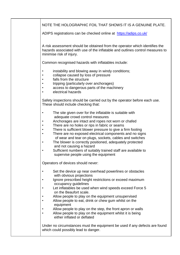| NOTE THE HOLOGRAPHIC FOIL THAT SHOWS IT IS A GENUINE PLATE.                                                                                                                                                                                                                                                                                                                                                                                                                                                                                                                                                   |
|---------------------------------------------------------------------------------------------------------------------------------------------------------------------------------------------------------------------------------------------------------------------------------------------------------------------------------------------------------------------------------------------------------------------------------------------------------------------------------------------------------------------------------------------------------------------------------------------------------------|
| ADIPS registrations can be checked online at https://adips.co.uk/                                                                                                                                                                                                                                                                                                                                                                                                                                                                                                                                             |
| A risk assessment should be obtained from the operator which identifies the<br>hazards associated with use of the inflatable and outlines control measures to<br>minimise risk of injury.                                                                                                                                                                                                                                                                                                                                                                                                                     |
| Common recognised hazards with inflatables include:                                                                                                                                                                                                                                                                                                                                                                                                                                                                                                                                                           |
| instability and blowing away in windy conditions;<br>collapse caused by loss of pressure<br>falls from the structure<br>tripping (particularly over anchorages)<br>access to dangerous parts of the machinery<br>electrical hazards                                                                                                                                                                                                                                                                                                                                                                           |
| Safety inspections should be carried out by the operator before each use.<br>These should include checking that:                                                                                                                                                                                                                                                                                                                                                                                                                                                                                              |
| The site given over for the inflatable is suitable with<br>adequate crowd control measures<br>Anchorages are intact and ropes not worn or chafed<br>There are no holes or rips in fabric or seams<br>There is sufficient blower pressure to give a firm footing<br>There are no exposed electrical components and no signs<br>$\bullet$<br>of wear and tear on plugs, sockets, cables and switches<br>The blower is correctly positioned, adequately protected<br>٠<br>and not causing a hazard<br>Sufficient numbers of suitably trained staff are available to<br>٠<br>supervise people using the equipment |
| Operators of devices should never:                                                                                                                                                                                                                                                                                                                                                                                                                                                                                                                                                                            |
| Set the device up near overhead powerlines or obstacles<br>$\bullet$<br>with obvious projections<br>Ignore prescribed height restrictions or exceed maximum<br>occupancy guidelines<br>Let inflatables be used when wind speeds exceed Force 5<br>on the Beaufort scale.<br>Allow people to play on the equipment unsupervised<br>Allow people to eat, drink or chew gum whilst on the<br>equipment<br>Allow people to play on the step, the front apron or walls<br>Allow people to play on the equipment whilst it is being<br>either inflated or deflated                                                  |
| Under no circumstances must the equipment be used if any defects are found<br>which could possibly lead to danger.                                                                                                                                                                                                                                                                                                                                                                                                                                                                                            |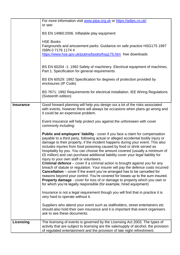|                  | For more information visit www.pipa.org.uk or https://adips.co.uk/<br>or see:                                                                                                                                                                                                                                                                                                                                                                                                                                                                       |
|------------------|-----------------------------------------------------------------------------------------------------------------------------------------------------------------------------------------------------------------------------------------------------------------------------------------------------------------------------------------------------------------------------------------------------------------------------------------------------------------------------------------------------------------------------------------------------|
|                  | BS EN 14960:2006. Inflatable play equipment                                                                                                                                                                                                                                                                                                                                                                                                                                                                                                         |
|                  | <b>HSE Books</b><br>Fairgrounds and amusement parks: Guidance on safe practice HSG175 1997<br>ISBN 0717611744                                                                                                                                                                                                                                                                                                                                                                                                                                       |
|                  | https://www.hse.gov.uk/pubns/books/hsg175.htm free downloads                                                                                                                                                                                                                                                                                                                                                                                                                                                                                        |
|                  | BS EN 60204 -1: 1992 Safety of machinery. Electrical equipment of machines.<br>Part 1. Specification for general requirements                                                                                                                                                                                                                                                                                                                                                                                                                       |
|                  | BS EN 60529: 1992 Specification for degrees of protection provided by<br>enclosures (IP Code)                                                                                                                                                                                                                                                                                                                                                                                                                                                       |
|                  | BS 7671: 1992 Requirements for electrical installation. IEE Wiring Regulations<br>(Sixteenth edition)                                                                                                                                                                                                                                                                                                                                                                                                                                               |
| <b>Insurance</b> | Good forward planning will help you design out a lot of the risks associated<br>with events, however there will always be occasions when plans go wrong and<br>it could be an expensive problem.                                                                                                                                                                                                                                                                                                                                                    |
|                  | Event insurance will help protect you against the unforeseen with cover<br>commonly including:                                                                                                                                                                                                                                                                                                                                                                                                                                                      |
|                  | <b>Public and employers' liability</b> - cover if you face a claim for compensation<br>payable to a third party, following actual or alleged accidental bodily injury or<br>damage to their property, if the incident happens during your event. This also<br>includes injuries from food poisoning caused by food or drink served as<br>hospitality by you. You can choose the amount covered (usually a minimum of<br>£5 million) and can purchase additional liability cover your legal liability for<br>injury to your own staff or volunteers. |
|                  | <b>Criminal defence</b> – cover if a criminal action is brought against you for any<br>breach of statute or regulation. Your insurer will pay the defence costs incurred<br><b>Cancellation</b> – cover if the event you've arranged has to be cancelled for<br>reasons beyond your control. You're covered for losses up to the sum insured.<br><b>Property damage</b> - cover for loss of or damage to property which you own or<br>for which you're legally responsible (for example, hired equipment)                                           |
|                  | Insurance is not a legal requirement though you will find that in practice it is<br>very hard to operate without it.                                                                                                                                                                                                                                                                                                                                                                                                                                |
|                  | Suppliers who attend your event such as stallholders, street entertainers etc.<br>should also hold their own insurance and it is important that event organisers<br>ask to see these documents.                                                                                                                                                                                                                                                                                                                                                     |
| Licensing        | The licensing of events is governed by the Licensing Act 2003. The types of<br>activity that are subject to licensing are the sale/supply of alcohol, the provision<br>of regulated entertainment and the provision of late night refreshment.                                                                                                                                                                                                                                                                                                      |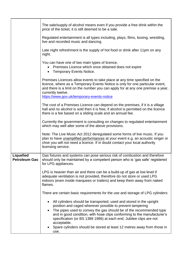|                                   | The sale/supply of alcohol means even if you provide a free drink within the<br>price of the ticket, it is still deemed to be a sale.                                                                                                                                                                                                                                                                                                                                                   |
|-----------------------------------|-----------------------------------------------------------------------------------------------------------------------------------------------------------------------------------------------------------------------------------------------------------------------------------------------------------------------------------------------------------------------------------------------------------------------------------------------------------------------------------------|
|                                   | Regulated entertainment is all types including, plays, films, boxing, wrestling,<br>live and recorded music and dancing.                                                                                                                                                                                                                                                                                                                                                                |
|                                   | Late night refreshment is the supply of hot food or drink after 11pm on any<br>night.                                                                                                                                                                                                                                                                                                                                                                                                   |
|                                   | You can have one of two main types of licence,<br>Premises Licence which once obtained does not expire<br>• Temporary Events Notice.                                                                                                                                                                                                                                                                                                                                                    |
|                                   | Premises Licences allow events to take place at any time specified on the<br>licence, where as a Temporary Events Notice is only for one particular event,<br>and there is a limit on the number you can apply for at any one premise a year,<br>currently twelve.<br>https://www.gov.uk/temporary-events-notice                                                                                                                                                                        |
|                                   | The cost of a Premises Licence can depend on the premises, if it is a village<br>hall and no alcohol is sold then it is free, if alcohol is permitted on the licence<br>there is a fee based on a sliding scale and an annual fee.                                                                                                                                                                                                                                                      |
|                                   | Currently the government is consulting on changes to regulated entertainment<br>which may well alter some of the above provisions.                                                                                                                                                                                                                                                                                                                                                      |
|                                   | Note: The Live Music Act 2012 deregulated some forms of live music. If you<br>plan to have unamplified performances at your event e.g. an acoustic singer or<br>choir you will not need a licence. If in doubt contact your local authority<br>licensing service.                                                                                                                                                                                                                       |
| Liquefied<br><b>Petroleum Gas</b> | Gas fixtures and systems can pose serious risk of combustion and therefore<br>should only be maintained by a competent person who is 'gas safe' registered<br>for LPG appliances.                                                                                                                                                                                                                                                                                                       |
|                                   | LPG is heavier than air and there can be a build-up of gas at low level if<br>adequate ventilation is not provided, therefore do not store or used LPG<br>indoors (even inside marquees or trailers) and keep them away from naked<br>flames.                                                                                                                                                                                                                                           |
|                                   | There are certain basic requirements for the use and storage of LPG cylinders:                                                                                                                                                                                                                                                                                                                                                                                                          |
|                                   | All cylinders should be transported, used and stored in the upright<br>$\bullet$<br>position and caged wherever possible to prevent tampering<br>The pipes used to convey the gas should be of the recommended type<br>$\bullet$<br>and in good condition, with hose clips conforming to the manufacturer's<br>specification (or BS 1389 1986) at each end. Jubilee clips are not<br>acceptable.<br>Spare cylinders should be stored at least 12 metres away from those in<br>$\bullet$ |
|                                   | use.                                                                                                                                                                                                                                                                                                                                                                                                                                                                                    |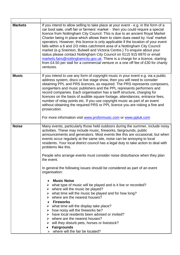| If you intend to allow selling to take place at your event - e.g. in the form of a<br>car boot sale, craft fair or farmers' market - then you could require a special<br>licence from Nottingham City Council. This is due to an ancient Royal Market<br>Charter being in place which allows them to claim dues owed by 'rival' market<br>operators. However, this licence is only applicable if the location of your event<br>falls within a 6 and 2/3 miles catchment area of a Nottingham City Council<br>market (e.g Sneinton, Bulwell and Victoria Centre.) To enquire about your<br>status please contact Nottingham City Council on 0115 915 6970 or email<br>markets.fairs@nottinghamcity.gov.uk. There is a charge for a licence, starting<br>from £4.50 per stall for a commercial venture or a one off fee of £30 for charity<br>ventures. |
|-------------------------------------------------------------------------------------------------------------------------------------------------------------------------------------------------------------------------------------------------------------------------------------------------------------------------------------------------------------------------------------------------------------------------------------------------------------------------------------------------------------------------------------------------------------------------------------------------------------------------------------------------------------------------------------------------------------------------------------------------------------------------------------------------------------------------------------------------------|
| If you intend to use any form of copyright music in your event e.g. via a public<br>address system, disco or live stage show, then you will need to consider<br>obtaining PPL and PRS licences, as required. The PRS represents composers,<br>songwriters and music publishers and the PPL represents performers and<br>record companies. Each organisation has a tariff structure, charging for<br>licences on the basis of audible square footage, attendances, entrance fees,<br>number of relay points etc. If you use copyright music as part of an event<br>without obtaining the required PRS or PPL licence you are risking a fine and<br>prosecution.<br>For more information visit www.prsformusic.com or www.ppluk.com                                                                                                                     |
|                                                                                                                                                                                                                                                                                                                                                                                                                                                                                                                                                                                                                                                                                                                                                                                                                                                       |
| Many events, particularly those held outdoors during the summer, include noisy<br>activities. These may include music, fireworks, fairgrounds, public<br>announcements and generators. Most events like this are occasional, but when<br>events occur regularly at the same site, noise can be annoying to local<br>residents. Your local district council has a legal duty to take action to deal with<br>problems like this.                                                                                                                                                                                                                                                                                                                                                                                                                        |
| People who arrange events must consider noise disturbance when they plan<br>the event.                                                                                                                                                                                                                                                                                                                                                                                                                                                                                                                                                                                                                                                                                                                                                                |
| In general the following issues should be considered as part of an event<br>organisation:                                                                                                                                                                                                                                                                                                                                                                                                                                                                                                                                                                                                                                                                                                                                                             |
| <b>Music Noise</b><br>$\triangleright$ what type of music will be played and is it live or recorded?<br>$\triangleright$ where will the music be played?<br>$\triangleright$ what time will the music be played and for how long?<br>$\triangleright$ where are the nearest houses?<br><b>Fireworks</b><br>$\triangleright$ what time will the display take place?<br>$\triangleright$ how noisy will the fireworks be?<br>$\triangleright$ have local residents been advised or invited?<br>$\triangleright$ where are the nearest houses?<br>$\triangleright$ will they disturb pets, horses or livestock?<br><b>Fairgrounds</b><br>where will the fair be located?                                                                                                                                                                                 |
|                                                                                                                                                                                                                                                                                                                                                                                                                                                                                                                                                                                                                                                                                                                                                                                                                                                       |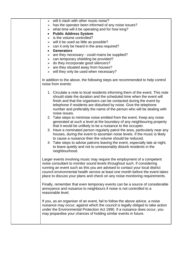| $\triangleright$ will it clash with other music noise?                                                                                           |
|--------------------------------------------------------------------------------------------------------------------------------------------------|
| has the operator been informed of any noise issues?<br>≻                                                                                         |
| $\triangleright$ what time will it be operating and for how long?                                                                                |
| <b>Public Address System</b><br>$\bullet$                                                                                                        |
| $\ge$ is the volume controlled?                                                                                                                  |
| $\triangleright$ will it be used as little as possible?                                                                                          |
| $\triangleright$ can it only be heard in the area required?                                                                                      |
| <b>Generators</b><br>$\bullet$                                                                                                                   |
| $\triangleright$ are they necessary - could mains be supplied?                                                                                   |
| $\triangleright$ can temporary shielding be provided?                                                                                            |
| $\triangleright$ do they incorporate good silencers?                                                                                             |
| $\triangleright$ are they situated away from houses?                                                                                             |
| $\triangleright$ will they only be used when necessary?                                                                                          |
|                                                                                                                                                  |
| In addition to the above, the following steps are recommended to help control<br>noise from events:                                              |
|                                                                                                                                                  |
| 1. Circulate a note to local residents informing them of the event. This note                                                                    |
| should state the duration and the scheduled time when the event will                                                                             |
| finish and that the organisers can be contacted during the event by                                                                              |
| telephone if residents are disturbed by noise. Give the telephone                                                                                |
| number and preferably the name of the person who will be dealing with<br>noise issues.                                                           |
|                                                                                                                                                  |
| 2. Take steps to minimise noise emitted from the event. Keep any noise<br>generated at such a level at the boundary of any neighbouring property |
| that it would be unlikely to be a nuisance to the occupier.                                                                                      |
| 3. Have a nominated person regularly patrol the area, particularly near any                                                                      |
| houses, during the event to ascertain noise levels. If the music is likely                                                                       |
| to cause a nuisance then the volume should be reduced.                                                                                           |
| 4. Take steps to advise patrons leaving the event, especially late at night,                                                                     |
| to leave quietly and not to unreasonably disturb residents in the                                                                                |
| neighbourhood.                                                                                                                                   |
|                                                                                                                                                  |
| Larger events involving music may require the employment of a competent                                                                          |
| noise consultant to monitor sound levels throughout such. If considering                                                                         |
| running an event such as this you are advised to contact your local district                                                                     |
| council environmental health service at least one month before the event takes                                                                   |
| place to discuss your plans and check on any noise monitoring requirements.                                                                      |
|                                                                                                                                                  |
| Finally, remember that even temporary events can be a source of considerable                                                                     |
| annoyance and nuisance to neighbours if noise is not controlled to a                                                                             |
| reasonable level.                                                                                                                                |
|                                                                                                                                                  |
| If you, as an organiser of an event, fail to follow the above advice, a noise                                                                    |
| nuisance may occur; against which the council is legally obliged to take action                                                                  |
| under the Environmental Protection Act 1990. If a nuisance does occur, you                                                                       |
| may jeopardise your chances of holding similar events in future.                                                                                 |
|                                                                                                                                                  |
|                                                                                                                                                  |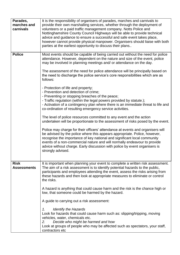| Parades,                          | It is the responsibility of organisers of parades, marches and carnivals to                                                                                                                                                                                                                                                                                                                                                                         |
|-----------------------------------|-----------------------------------------------------------------------------------------------------------------------------------------------------------------------------------------------------------------------------------------------------------------------------------------------------------------------------------------------------------------------------------------------------------------------------------------------------|
| marches and<br>carnivals          | provide their own marshalling services, whether through the deployment of<br>volunteers or a paid traffic management company. Notts Police and<br>Nottinghamshire County Council Highways will be able to provide technical<br>advice and guidance to ensure a successful and safe event takes place,<br>however cannot provide physical manpower. Organisers should liaise with both<br>parties at the earliest opportunity to discuss their plans |
| <b>Police</b>                     | Most events should be capable of being carried out without the need for police<br>attendance. However, dependent on the nature and size of the event, police<br>may be involved in planning meetings and/ or attendance on the day.                                                                                                                                                                                                                 |
|                                   | The assessment of the need for police attendance will be principally based on<br>the need to discharge the police service's core responsibilities which are as<br>follows:                                                                                                                                                                                                                                                                          |
|                                   | - Protection of life and property;<br>- Prevention and detection of crime;<br>- Preventing or stopping breaches of the peace;<br>- Traffic regulation (within the legal powers provided by statute.);<br>- Activation of a contingency plan where there is an immediate threat to life and<br>co-ordination of resulting emergency service activities.                                                                                              |
|                                   | The level of police resources committed to any event and the action<br>undertaken will be proportionate to the assessment of risks posed by the event.                                                                                                                                                                                                                                                                                              |
|                                   | Police may charge for their officers' attendance at events and organisers will<br>be advised by the police where this appears appropriate. Police, however,<br>recognise the importance of key national and significant local community<br>events of a non-commercial nature and will normally endeavour to provide<br>advice without charge. Early discussion with police by event organisers is<br>strongly advised.                              |
| <b>Risk</b><br><b>Assessments</b> | It is important when planning your event to complete a written risk assessment.<br>The aim of a risk assessment is to identify potential hazards to the public,<br>participants and employees attending the event, assess the risks arising from<br>these hazards and then look at appropriate measures to eliminate or control<br>the risks.                                                                                                       |
|                                   | A hazard is anything that could cause harm and the risk is the chance high or<br>low, that someone could be harmed by the hazard.                                                                                                                                                                                                                                                                                                                   |
|                                   | A guide to carrying out a risk assessment:                                                                                                                                                                                                                                                                                                                                                                                                          |
|                                   | <b>Identify the Hazards</b><br>1.<br>Look for hazards that could cause harm such as: slipping/tripping, moving<br>vehicles, water, chemicals etc.<br>Decide who might be harmed and how<br>2.<br>Look at groups of people who may be affected such as spectators, your staff,<br>contractors etc                                                                                                                                                    |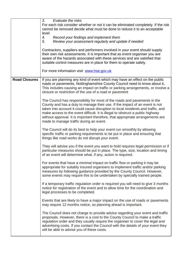|                      | 3.<br>Evaluate the risks                                                                                                                    |
|----------------------|---------------------------------------------------------------------------------------------------------------------------------------------|
|                      | For each risk consider whether or not it can be eliminated completely. If the risk                                                          |
|                      | cannot be removed decide what must be done to reduce it to an acceptable                                                                    |
|                      | level.                                                                                                                                      |
|                      | Record your findings and implement them<br>4.                                                                                               |
|                      | Review your assessment regularly and update if needed<br>5.                                                                                 |
|                      | Contractors, suppliers and performers involved in your event should supply                                                                  |
|                      | their own risk assessments. It is important that as event organiser you are                                                                 |
|                      | aware of the hazards associated with these services and are satisfied that                                                                  |
|                      | suitable control measures are in place for them to operate safely.                                                                          |
|                      |                                                                                                                                             |
|                      | For more information visit www.hse.gov.uk                                                                                                   |
|                      |                                                                                                                                             |
| <b>Road Closures</b> | If you are planning any kind of event which may have an effect on the public                                                                |
|                      | roads or pavements, Nottinghamshire County Council need to know about it.                                                                   |
|                      | This includes causing an impact on traffic or parking arrangements, or involve a<br>closure or restriction of the use of a road or pavement |
|                      |                                                                                                                                             |
|                      | The Council has responsibility for most of the roads and pavements in the                                                                   |
|                      | County and has a duty to manage their use. If the impact of an event is not                                                                 |
|                      | taken into account it could cause disruption to local residents and traffic, and                                                            |
|                      | make access to the event difficult. It is illegal to obstruct a public highway                                                              |
|                      | without approval. It is important therefore, that appropriate arrangements are                                                              |
|                      | made to manage traffic during an event.                                                                                                     |
|                      | The Council will do its best to help your event run smoothly by allowing                                                                    |
|                      | specific traffic or parking requirements to be put in place and ensuring that                                                               |
|                      | things like road works do not disrupt your event.                                                                                           |
|                      |                                                                                                                                             |
|                      | They will advise you if the event you want to hold requires legal permission or if                                                          |
|                      | particular measures should be put in place. The type, size, location and timing                                                             |
|                      | of an event will determine what, if any, action is required.                                                                                |
|                      | For events that have a minimal impact on traffic flow or parking it may be                                                                  |
|                      | appropriate for suitably insured organisers to implement traffic and/or parking                                                             |
|                      | measures by following guidance provided by the County Council. However,                                                                     |
|                      | some events may require this to be undertaken by specially trained people.                                                                  |
|                      |                                                                                                                                             |
|                      | If a temporary traffic regulation order is required you will need to give 3 months                                                          |
|                      | notice for registration of the event and to allow time for the coordination and                                                             |
|                      | legal processes to be completed.                                                                                                            |
|                      | Events that are likely to have a major impact on the use of roads or pavements                                                              |
|                      | may require 12 months notice, so planning ahead is important.                                                                               |
|                      |                                                                                                                                             |
|                      | The Council does not charge to provide advice regarding your event and traffic                                                              |
|                      | proposals. However, there is a cost to the County Council to make a traffic                                                                 |
|                      | regulation order and they usually require the organiser to cover the legal and                                                              |
|                      | advertising costs. If you contact the Council with the details of your event they                                                           |
|                      | will be able to advise you of these costs.                                                                                                  |
|                      |                                                                                                                                             |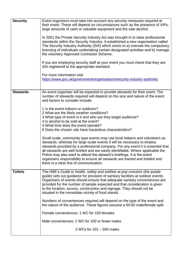| <b>Security</b> | Event organisers must take into account any security measures required at<br>their event. These will depend on circumstances such as the presence of VIPs,<br>large amounts of cash or valuable equipment and the sale alcohol.                                                                                                                                                                                                                                                                                                   |
|-----------------|-----------------------------------------------------------------------------------------------------------------------------------------------------------------------------------------------------------------------------------------------------------------------------------------------------------------------------------------------------------------------------------------------------------------------------------------------------------------------------------------------------------------------------------|
|                 | In 2001 the Private Security Industry Act was brought in to raise professional<br>standards within the Security Industry. It established a new organisation called<br>The Security Industry Authority (SIA) which exists to a) oversee the compulsory<br>licensing of individuals undertaking certain designated activities and b) manage<br>the voluntary Approved Contractor Scheme.                                                                                                                                            |
|                 | If you are employing security staff at your event you must check that they are<br>SIA registered to the appropriate standard.                                                                                                                                                                                                                                                                                                                                                                                                     |
|                 | For more information visit<br>https://www.gov.uk/government/organisations/security-industry-authority                                                                                                                                                                                                                                                                                                                                                                                                                             |
| <b>Stewards</b> | An event organiser will be expected to provide stewards for their event. The<br>number of stewards required will depend on the size and nature of the event<br>and factors to consider include:                                                                                                                                                                                                                                                                                                                                   |
|                 | 1 Is the event indoors or outdoors?<br>2 What are the likely weather conditions?<br>3 What type of event is it and who are they target audience?<br>4 Is alcohol to be sold at the event?<br>5 What time does the event operate?<br>6 Does the chosen site have hazardous characteristics?                                                                                                                                                                                                                                        |
|                 | Small scale, community type events may use local helpers and volunteers as<br>stewards, whereas for large-scale events it will be necessary to employ<br>stewards provided by a professional company. For any event it is essential that<br>all stewards are well briefed and are easily identifiable. Where applicable the<br>Police may also want to attend the steward's briefings. It is the event<br>organisers responsibility to ensure all stewards are trained and briefed and<br>there is a clear line of communication. |
| <b>Toilets</b>  | The HSE's Guide to health, safety and welfare at pop concerts (the purple<br>guide) sets out guidance for provision of sanitary facilities at outdoor events.<br>Organisers of events should ensure that adequate sanitary conveniences are<br>provided for the number of people expected and that consideration is given<br>to the location, access, construction and signage. They should not be<br>situated in the immediate vicinity of food stands.                                                                          |
|                 | Numbers of conveniences required will depend on the type of the event and<br>the nature of the audience. These figures assume a 50:50 male/female split.                                                                                                                                                                                                                                                                                                                                                                          |
|                 | Female conveniences: 1 WC for 100 females                                                                                                                                                                                                                                                                                                                                                                                                                                                                                         |
|                 | Male conveniences: 1 WC for 100 or fewer males                                                                                                                                                                                                                                                                                                                                                                                                                                                                                    |
|                 | 2 WCs for 101 - 500 males                                                                                                                                                                                                                                                                                                                                                                                                                                                                                                         |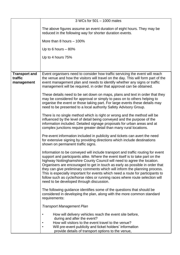|                                               | 3 WCs for 501 - 1000 males                                                                                                                                                                                                                                                                                                                                                                                                                                                                                                                                                                                              |
|-----------------------------------------------|-------------------------------------------------------------------------------------------------------------------------------------------------------------------------------------------------------------------------------------------------------------------------------------------------------------------------------------------------------------------------------------------------------------------------------------------------------------------------------------------------------------------------------------------------------------------------------------------------------------------------|
|                                               | The above figures assume an event duration of eight hours. They may be<br>reduced in the following way for shorter duration events.                                                                                                                                                                                                                                                                                                                                                                                                                                                                                     |
|                                               | More than 8 hours $-100\%$                                                                                                                                                                                                                                                                                                                                                                                                                                                                                                                                                                                              |
|                                               | Up to 6 hours $-80%$                                                                                                                                                                                                                                                                                                                                                                                                                                                                                                                                                                                                    |
|                                               | Up to 4 hours 75%                                                                                                                                                                                                                                                                                                                                                                                                                                                                                                                                                                                                       |
|                                               |                                                                                                                                                                                                                                                                                                                                                                                                                                                                                                                                                                                                                         |
| <b>Transport and</b><br>traffic<br>management | Event organisers need to consider how traffic servicing the event will reach<br>the venue and how the visitors will travel on the day. This will form part of the<br>event management plan and needs to identify whether any signs or traffic<br>management will be required, in order that approval can be obtained.                                                                                                                                                                                                                                                                                                   |
|                                               | These details need to be set down on maps, plans and text in order that they<br>may be considered for approval or simply to pass on to others helping to<br>organise the event or those taking part. For large events these details may<br>need to be presented to a local authority Safety Advisory Group.                                                                                                                                                                                                                                                                                                             |
|                                               | There is no single method which is right or wrong and the method will be<br>influenced by the level of detail being conveyed and the purpose of the<br>information included. Detailed signage proposals for urban areas and at<br>complex junctions require greater detail than many rural locations.                                                                                                                                                                                                                                                                                                                   |
|                                               | Pre-event information included in publicity and tickets can avert the need<br>for extensive signing by providing directions which include destinations<br>shown on permanent traffic signs.                                                                                                                                                                                                                                                                                                                                                                                                                             |
|                                               | Information to be conveyed will include transport and traffic routing for event<br>support and participants alike. Where the event itself is to take part on the<br>highway Nottinghamshire County Council will need to agree the location.<br>Organisers are encouraged to get in touch as early as possible in order that<br>they can give preliminary comments which will inform the planning process.<br>This is especially important for events which need a route for participants to<br>follow such as cycle/horse rides or running races where route selection will<br>need to be developed through discussion. |
|                                               | The following guidance identifies some of the questions that should be<br>considered in developing the plan, along with the more common standard<br>requirements:                                                                                                                                                                                                                                                                                                                                                                                                                                                       |
|                                               | <b>Transport Management Plan</b>                                                                                                                                                                                                                                                                                                                                                                                                                                                                                                                                                                                        |
|                                               | How will delivery vehicles reach the event site before,<br>during and after the event?<br>How will visitors to the event travel to the venue?<br>Will pre-event publicity and ticket holders' information<br>provide details of transport options to the venue,                                                                                                                                                                                                                                                                                                                                                         |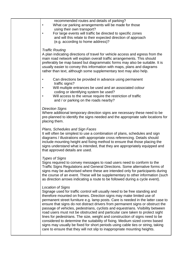| recommended routes and details of parking?<br>What car parking arrangements will be made for those<br>using their own transport?<br>For large events will traffic be directed to specific zones<br>and will this relate to their expected direction of approach<br>(e.g. according to home address)?                                                                                                                                                                                                                                                                                                                                                                                                                                                                                                                                            |  |
|-------------------------------------------------------------------------------------------------------------------------------------------------------------------------------------------------------------------------------------------------------------------------------------------------------------------------------------------------------------------------------------------------------------------------------------------------------------------------------------------------------------------------------------------------------------------------------------------------------------------------------------------------------------------------------------------------------------------------------------------------------------------------------------------------------------------------------------------------|--|
| <b>Traffic Routing</b><br>A plan indicating directions of travel for vehicle access and egress from the<br>main road network will explain overall traffic arrangements. This should<br>preferably be map based but diagrammatic forms may also be suitable. It is<br>usually easier to convey this information with maps, plans and diagrams<br>rather than text, although some supplementary text may also help.                                                                                                                                                                                                                                                                                                                                                                                                                               |  |
| Can directions be provided in advance using permanent<br>$\bullet$<br>traffic signs?<br>Will multiple entrances be used and an associated colour<br>٠<br>coding or identifying system be used?<br>Will access to the venue require the restriction of traffic<br>and / or parking on the roads nearby?                                                                                                                                                                                                                                                                                                                                                                                                                                                                                                                                          |  |
| <b>Direction Signs</b><br>Where additional temporary direction signs are necessary these need to be<br>pre-planned to identify the signs needed and the appropriate safe locations for<br>placing them.                                                                                                                                                                                                                                                                                                                                                                                                                                                                                                                                                                                                                                         |  |
| Plans, Schedules and Sign Faces<br>It will often be simplest to use a combination of plans, schedules and sign<br>diagrams / illustrations with appropriate cross referencing. Details should<br>include mounting height and fixing method to ensure that those placing the<br>signs understand what is intended, that they are appropriately equipped and<br>that approved details are used.                                                                                                                                                                                                                                                                                                                                                                                                                                                   |  |
| <b>Types of Signs</b><br>Signs required to convey messages to road users need to conform to the<br>Traffic Signs Regulations and General Directions. Some alternative forms of<br>signs may be authorised where these are intended only for participants during<br>the course of an event. These will be supplementary to other information (such<br>as direction arrows indicating a route to be followed during a cycle event).                                                                                                                                                                                                                                                                                                                                                                                                               |  |
| Location of Signs<br>Signage used for traffic control will usually need to be free standing and<br>therefore mounted on frames. Direction signs may make limited use of<br>permanent street furniture e.g. lamp posts. Care is needed in the latter case to<br>ensure that signs do not distract drivers from permanent signs or obstruct the<br>passage of vehicles, pedestrians, cyclists and equestrians. Visibility between<br>road users must not be obstructed and particular care taken to protect sight<br>lines for pedestrians. The size, weight and construction of signs need to be<br>considered to determine the suitability of fixing. Medium sized correx based<br>signs may usually be fixed for short periods using cable ties or string, taking<br>care to ensure that they will not slip to inappropriate mounting heights. |  |